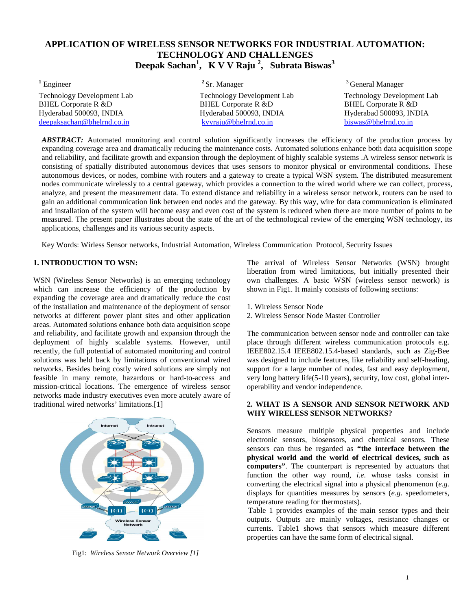# **APPLICATION OF WIRELESS SENSOR NETWORKS FOR INDUSTRIAL AUTOMATION: TECHNOLOGY AND CHALLENGES Deepak Sachan<sup>1</sup> , K V V Raju <sup>2</sup> , Subrata Biswas<sup>3</sup>**

| $1$ Engineer                   | <sup>2</sup> Sr. Manager          | <sup>3</sup> General Manager                              |  |
|--------------------------------|-----------------------------------|-----------------------------------------------------------|--|
| Technology Development Lab     | <b>Technology Development Lab</b> | <b>Technology Development Lab</b>                         |  |
| <b>BHEL Corporate R &amp;D</b> | <b>BHEL Corporate R &amp;D</b>    | <b>BHEL Corporate R &amp;D</b><br>Hyderabad 500093, INDIA |  |
| Hyderabad 500093, INDIA        | Hyderabad 500093, INDIA           |                                                           |  |
| deepaksachan@bhelrnd.co.in     | kvyraju@bhelrnd.co.in             | biswas@bhelrnd.co.in                                      |  |

*ABSTRACT:* Automated monitoring and control solution significantly increases the efficiency of the production process by expanding coverage area and dramatically reducing the maintenance costs. Automated solutions enhance both data acquisition scope and reliability, and facilitate growth and expansion through the deployment of highly scalable systems .A wireless sensor network is consisting of spatially distributed autonomous devices that uses sensors to monitor physical or environmental conditions. These autonomous devices, or nodes, combine with routers and a gateway to create a typical WSN system. The distributed measurement nodes communicate wirelessly to a central gateway, which provides a connection to the wired world where we can collect, process, analyze, and present the measurement data. To extend distance and reliability in a wireless sensor network, routers can be used to gain an additional communication link between end nodes and the gateway. By this way, wire for data communication is eliminated and installation of the system will become easy and even cost of the system is reduced when there are more number of points to be measured. The present paper illustrates about the state of the art of the technological review of the emerging WSN technology, its applications, challenges and its various security aspects.

Key Words: Wirless Sensor networks, Industrial Automation, Wireless Communication Protocol, Security Issues

### **1. INTRODUCTION TO WSN:**

WSN (Wireless Sensor Networks) is an emerging technology which can increase the efficiency of the production by expanding the coverage area and dramatically reduce the cost of the installation and maintenance of the deployment of sensor networks at different power plant sites and other application areas. Automated solutions enhance both data acquisition scope and reliability, and facilitate growth and expansion through the deployment of highly scalable systems. However, until recently, the full potential of automated monitoring and control solutions was held back by limitations of conventional wired networks. Besides being costly wired solutions are simply not feasible in many remote, hazardous or hard-to-access and mission-critical locations. The emergence of wireless sensor networks made industry executives even more acutely aware of traditional wired networks' limitations.[1]



Fig1: *Wireless Sensor Network Overview [1]* 

The arrival of Wireless Sensor Networks (WSN) brought liberation from wired limitations, but initially presented their own challenges. A basic WSN (wireless sensor network) is shown in Fig1. It mainly consists of following sections:

- 1. Wireless Sensor Node
- 2. Wireless Sensor Node Master Controller

The communication between sensor node and controller can take place through different wireless communication protocols e.g. IEEE802.15.4 IEEE802.15.4-based standards, such as Zig-Bee was designed to include features, like reliability and self-healing, support for a large number of nodes, fast and easy deployment, very long battery life(5-10 years), security, low cost, global interoperability and vendor independence.

# **2. WHAT IS A SENSOR AND SENSOR NETWORK AND WHY WIRELESS SENSOR NETWORKS?**

Sensors measure multiple physical properties and include electronic sensors, biosensors, and chemical sensors. These sensors can thus be regarded as **"the interface between the physical world and the world of electrical devices, such as computers"**. The counterpart is represented by actuators that function the other way round, *i.e.* whose tasks consist in converting the electrical signal into a physical phenomenon (*e.g.*  displays for quantities measures by sensors (*e.g*. speedometers, temperature reading for thermostats).

Table 1 provides examples of the main sensor types and their outputs. Outputs are mainly voltages, resistance changes or currents. Table1 shows that sensors which measure different properties can have the same form of electrical signal.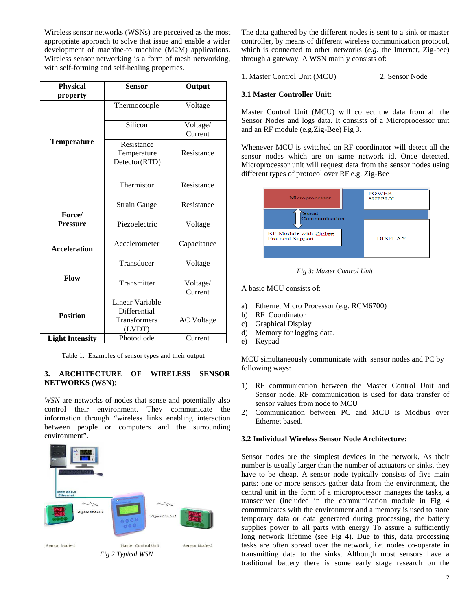Wireless sensor networks (WSNs) are perceived as the most appropriate approach to solve that issue and enable a wider development of machine-to machine (M2M) applications. Wireless sensor networking is a form of mesh networking, with self-forming and self-healing properties.

| <b>Physical</b><br>property | Sensor                 | Output            |
|-----------------------------|------------------------|-------------------|
|                             |                        |                   |
| <b>Temperature</b>          | Thermocouple           | Voltage           |
|                             | Silicon                | Voltage/          |
|                             |                        | Current           |
|                             | Resistance             |                   |
|                             | Temperature            | Resistance        |
|                             | Detector(RTD)          |                   |
|                             |                        |                   |
|                             | Thermistor             | Resistance        |
|                             |                        |                   |
|                             | <b>Strain Gauge</b>    | Resistance        |
| Force/                      |                        |                   |
| <b>Pressure</b>             | Piezoelectric          | Voltage           |
|                             |                        |                   |
| <b>Acceleration</b>         | Accelerometer          | Capacitance       |
|                             |                        |                   |
|                             | Transducer             | Voltage           |
| Flow                        |                        |                   |
|                             | Transmitter            | Voltage/          |
|                             |                        | Current           |
| <b>Position</b>             | <b>Linear Variable</b> |                   |
|                             | Differential           |                   |
|                             | Transformers           | <b>AC Voltage</b> |
|                             | (LVDT)                 |                   |
| <b>Light Intensity</b>      | Photodiode             | Current           |

Table 1: Examples of sensor types and their output

#### **3. ARCHITECTURE OF WIRELESS SENSOR NETWORKS (WSN)**:

*WSN* are networks of nodes that sense and potentially also control their environment. They communicate the information through "wireless links enabling interaction between people or computers and the surrounding environment".



The data gathered by the different nodes is sent to a sink or master controller, by means of different wireless communication protocol, which is connected to other networks (*e.g.* the Internet, Zig-bee) through a gateway. A WSN mainly consists of:

1. Master Control Unit (MCU) 2. Sensor Node

### **3.1 Master Controller Unit:**

Master Control Unit (MCU) will collect the data from all the Sensor Nodes and logs data. It consists of a Microprocessor unit and an RF module (e.g.Zig-Bee) Fig 3.

Whenever MCU is switched on RF coordinator will detect all the sensor nodes which are on same network id. Once detected, Microprocessor unit will request data from the sensor nodes using different types of protocol over RF e.g. Zig-Bee



*Fig 3: Master Control Unit* 

A basic MCU consists of:

- a) Ethernet Micro Processor (e.g. RCM6700)
- b) RF Coordinator
- c) Graphical Display
- d) Memory for logging data.
- e) Keypad

MCU simultaneously communicate with sensor nodes and PC by following ways:

- 1) RF communication between the Master Control Unit and Sensor node. RF communication is used for data transfer of sensor values from node to MCU
- 2) Communication between PC and MCU is Modbus over Ethernet based.

### **3.2 Individual Wireless Sensor Node Architecture:**

Sensor nodes are the simplest devices in the network. As their number is usually larger than the number of actuators or sinks, they have to be cheap. A sensor node typically consists of five main parts: one or more sensors gather data from the environment, the central unit in the form of a microprocessor manages the tasks, a transceiver (included in the communication module in Fig 4 communicates with the environment and a memory is used to store temporary data or data generated during processing, the battery supplies power to all parts with energy To assure a sufficiently long network lifetime (see Fig 4). Due to this, data processing tasks are often spread over the network, *i.e.* nodes co-operate in transmitting data to the sinks. Although most sensors have a traditional battery there is some early stage research on the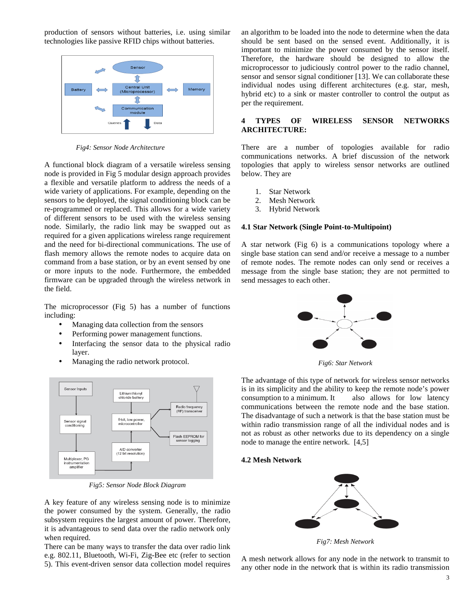production of sensors without batteries, i.e. using similar technologies like passive RFID chips without batteries.



 *Fig4: Sensor Node Architecture*

A functional block diagram of a versatile wireless sensing node is provided in Fig 5 modular design approach provides a flexible and versatile platform to address the needs of a wide variety of applications. For example, depending on the sensors to be deployed, the signal conditioning block can be re-programmed or replaced. This allows for a wide variety of different sensors to be used with the wireless sensing node. Similarly, the radio link may be swapped out as required for a given applications wireless range requirement and the need for bi-directional communications. The use of flash memory allows the remote nodes to acquire data on command from a base station, or by an event sensed by one or more inputs to the node. Furthermore, the embedded firmware can be upgraded through the wireless network in the field.

The microprocessor (Fig 5) has a number of functions including:

- Managing data collection from the sensors
- Performing power management functions.
- Interfacing the sensor data to the physical radio layer.
- Managing the radio network protocol.



*Fig5: Sensor Node Block Diagram* 

A key feature of any wireless sensing node is to minimize the power consumed by the system. Generally, the radio subsystem requires the largest amount of power. Therefore, it is advantageous to send data over the radio network only when required.

There can be many ways to transfer the data over radio link e.g. 802.11, Bluetooth, Wi-Fi, Zig-Bee etc (refer to section 5). This event-driven sensor data collection model requires an algorithm to be loaded into the node to determine when the data should be sent based on the sensed event. Additionally, it is important to minimize the power consumed by the sensor itself. Therefore, the hardware should be designed to allow the microprocessor to judiciously control power to the radio channel, sensor and sensor signal conditioner [13]. We can collaborate these individual nodes using different architectures (e.g. star, mesh, hybrid etc) to a sink or master controller to control the output as per the requirement.

# **4 TYPES OF WIRELESS SENSOR NETWORKS ARCHITECTURE:**

There are a number of topologies available for radio communications networks. A brief discussion of the network topologies that apply to wireless sensor networks are outlined below. They are

- 1. Star Network
- 2. Mesh Network
- 3. Hybrid Network

#### **4.1 Star Network (Single Point-to-Multipoint)**

A star network (Fig 6) is a communications topology where a single base station can send and/or receive a message to a number of remote nodes. The remote nodes can only send or receives a message from the single base station; they are not permitted to send messages to each other.



*Fig6: Star Network* 

The advantage of this type of network for wireless sensor networks is in its simplicity and the ability to keep the remote node's power consumption to a minimum. It also allows for low latency communications between the remote node and the base station. The disadvantage of such a network is that the base station must be within radio transmission range of all the individual nodes and is not as robust as other networks due to its dependency on a single node to manage the entire network. [4,5]

#### **4.2 Mesh Network**



*Fig7: Mesh Network* 

A mesh network allows for any node in the network to transmit to any other node in the network that is within its radio transmission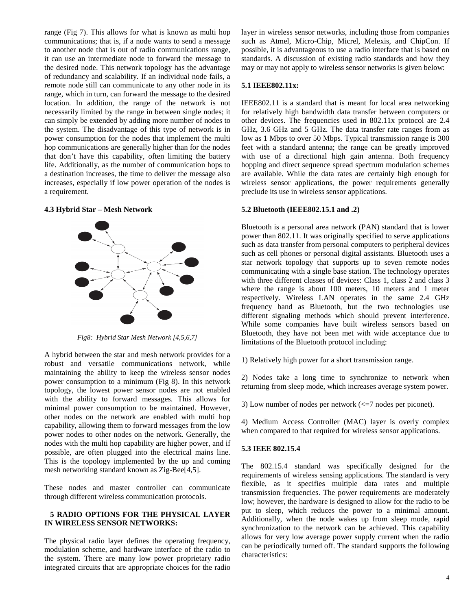range (Fig 7). This allows for what is known as multi hop communications; that is, if a node wants to send a message to another node that is out of radio communications range, it can use an intermediate node to forward the message to the desired node. This network topology has the advantage of redundancy and scalability. If an individual node fails, a remote node still can communicate to any other node in its range, which in turn, can forward the message to the desired location. In addition, the range of the network is not necessarily limited by the range in between single nodes; it can simply be extended by adding more number of nodes to the system. The disadvantage of this type of network is in power consumption for the nodes that implement the multi hop communications are generally higher than for the nodes that don't have this capability, often limiting the battery life. Additionally, as the number of communication hops to a destination increases, the time to deliver the message also increases, especially if low power operation of the nodes is a requirement.

#### **4.3 Hybrid Star – Mesh Network**



*Fig8: Hybrid Star Mesh Network [4,5,6,7]* 

A hybrid between the star and mesh network provides for a robust and versatile communications network, while maintaining the ability to keep the wireless sensor nodes power consumption to a minimum (Fig 8). In this network topology, the lowest power sensor nodes are not enabled with the ability to forward messages. This allows for minimal power consumption to be maintained. However, other nodes on the network are enabled with multi hop capability, allowing them to forward messages from the low power nodes to other nodes on the network. Generally, the nodes with the multi hop capability are higher power, and if possible, are often plugged into the electrical mains line. This is the topology implemented by the up and coming mesh networking standard known as Zig-Bee[4,5].

These nodes and master controller can communicate through different wireless communication protocols.

### **5 RADIO OPTIONS FOR THE PHYSICAL LAYER IN WIRELESS SENSOR NETWORKS:**

The physical radio layer defines the operating frequency, modulation scheme, and hardware interface of the radio to the system. There are many low power proprietary radio integrated circuits that are appropriate choices for the radio layer in wireless sensor networks, including those from companies such as Atmel, Micro-Chip, Micrel, Melexis, and ChipCon. If possible, it is advantageous to use a radio interface that is based on standards. A discussion of existing radio standards and how they may or may not apply to wireless sensor networks is given below:

#### **5.1 IEEE802.11x:**

IEEE802.11 is a standard that is meant for local area networking for relatively high bandwidth data transfer between computers or other devices. The frequencies used in 802.11x protocol are 2.4 GHz, 3.6 GHz and 5 GHz. The data transfer rate ranges from as low as 1 Mbps to over 50 Mbps. Typical transmission range is 300 feet with a standard antenna; the range can be greatly improved with use of a directional high gain antenna. Both frequency hopping and direct sequence spread spectrum modulation schemes are available. While the data rates are certainly high enough for wireless sensor applications, the power requirements generally preclude its use in wireless sensor applications.

### **5.2 Bluetooth (IEEE802.15.1 and .2)**

Bluetooth is a personal area network (PAN) standard that is lower power than 802.11. It was originally specified to serve applications such as data transfer from personal computers to peripheral devices such as cell phones or personal digital assistants. Bluetooth uses a star network topology that supports up to seven remote nodes communicating with a single base station. The technology operates with three different classes of devices: Class 1, class 2 and class 3 where the range is about 100 meters, 10 meters and 1 meter respectively. Wireless LAN operates in the same 2.4 GHz frequency band as Bluetooth, but the two technologies use different signaling methods which should prevent interference. While some companies have built wireless sensors based on Bluetooth, they have not been met with wide acceptance due to limitations of the Bluetooth protocol including:

1) Relatively high power for a short transmission range.

2) Nodes take a long time to synchronize to network when returning from sleep mode, which increases average system power.

3) Low number of nodes per network  $\ll$  =7 nodes per piconet).

4) Medium Access Controller (MAC) layer is overly complex when compared to that required for wireless sensor applications.

#### **5.3 IEEE 802.15.4**

The 802.15.4 standard was specifically designed for the requirements of wireless sensing applications. The standard is very flexible, as it specifies multiple data rates and multiple transmission frequencies. The power requirements are moderately low; however, the hardware is designed to allow for the radio to be put to sleep, which reduces the power to a minimal amount. Additionally, when the node wakes up from sleep mode, rapid synchronization to the network can be achieved. This capability allows for very low average power supply current when the radio can be periodically turned off. The standard supports the following characteristics: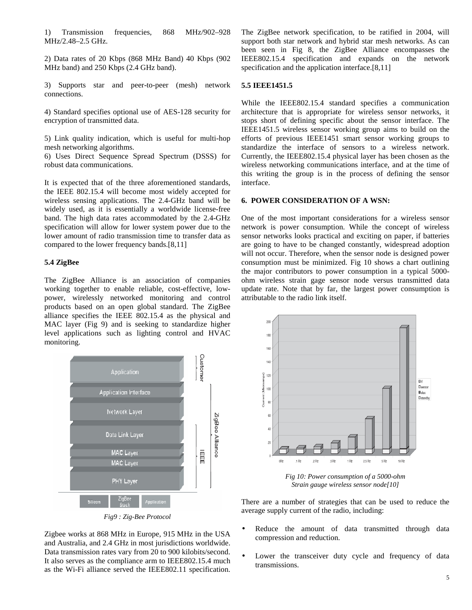1) Transmission frequencies, 868 MHz/902–928 MHz/2.48–2.5 GHz.

2) Data rates of 20 Kbps (868 MHz Band) 40 Kbps (902 MHz band) and 250 Kbps (2.4 GHz band).

3) Supports star and peer-to-peer (mesh) network connections.

4) Standard specifies optional use of AES-128 security for encryption of transmitted data.

5) Link quality indication, which is useful for multi-hop mesh networking algorithms.

6) Uses Direct Sequence Spread Spectrum (DSSS) for robust data communications.

It is expected that of the three aforementioned standards, the IEEE 802.15.4 will become most widely accepted for wireless sensing applications. The 2.4-GHz band will be widely used, as it is essentially a worldwide license-free band. The high data rates accommodated by the 2.4-GHz specification will allow for lower system power due to the lower amount of radio transmission time to transfer data as compared to the lower frequency bands.[8,11]

### **5.4 ZigBee**

The ZigBee Alliance is an association of companies working together to enable reliable, cost-effective, lowpower, wirelessly networked monitoring and control products based on an open global standard. The ZigBee alliance specifies the IEEE 802.15.4 as the physical and MAC layer (Fig 9) and is seeking to standardize higher level applications such as lighting control and HVAC monitoring.



*Fig9 : Zig-Bee Protocol* 

Zigbee works at 868 MHz in Europe, 915 MHz in the USA and Australia, and 2.4 GHz in most jurisdictions worldwide. Data transmission rates vary from 20 to 900 kilobits/second. It also serves as the compliance arm to IEEE802.15.4 much as the Wi-Fi alliance served the IEEE802.11 specification. The ZigBee network specification, to be ratified in 2004, will support both star network and hybrid star mesh networks. As can been seen in Fig 8, the ZigBee Alliance encompasses the IEEE802.15.4 specification and expands on the network specification and the application interface.<sup>[8,11]</sup>

#### **5.5 IEEE1451.5**

While the IEEE802.15.4 standard specifies a communication architecture that is appropriate for wireless sensor networks, it stops short of defining specific about the sensor interface. The IEEE1451.5 wireless sensor working group aims to build on the efforts of previous IEEE1451 smart sensor working groups to standardize the interface of sensors to a wireless network. Currently, the IEEE802.15.4 physical layer has been chosen as the wireless networking communications interface, and at the time of this writing the group is in the process of defining the sensor interface.

#### **6. POWER CONSIDERATION OF A WSN:**

One of the most important considerations for a wireless sensor network is power consumption. While the concept of wireless sensor networks looks practical and exciting on paper, if batteries are going to have to be changed constantly, widespread adoption will not occur. Therefore, when the sensor node is designed power consumption must be minimized. Fig 10 shows a chart outlining the major contributors to power consumption in a typical 5000 ohm wireless strain gage sensor node versus transmitted data update rate. Note that by far, the largest power consumption is attributable to the radio link itself.



*Strain gauge wireless sensor node[10]* 

There are a number of strategies that can be used to reduce the average supply current of the radio, including:

- Reduce the amount of data transmitted through data compression and reduction.
- Lower the transceiver duty cycle and frequency of data transmissions.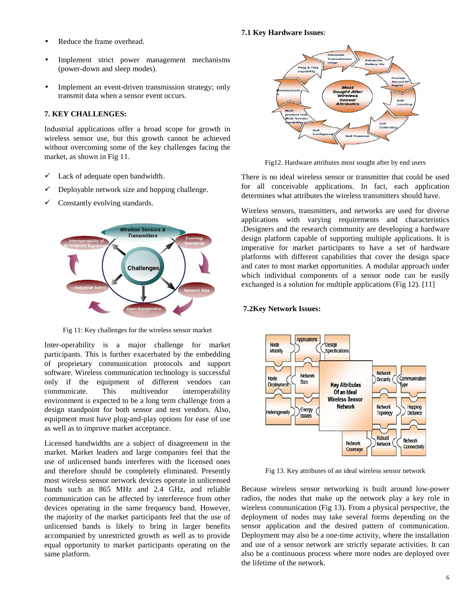#### **7.1 Key Hardware Issues**:

- Reduce the frame overhead.
- Implement strict power management mechanisms (power-down and sleep modes).
- Implement an event-driven transmission strategy; only transmit data when a sensor event occurs.

# **7. KEY CHALLENGES:**

Industrial applications offer a broad scope for growth in wireless sensor use, but this growth cannot be achieved without overcoming some of the key challenges facing the market, as shown in Fig 11.

- $\checkmark$  Lack of adequate open bandwidth.
- Deployable network size and hopping challenge.
- Constantly evolving standards.



Fig 11: Key challenges for the wireless sensor market

Inter-operability is a major challenge for market participants. This is further exacerbated by the embedding of proprietary communication protocols and support software. Wireless communication technology is successful only if the equipment of different vendors can communicate. This multivendor interoperability environment is expected to be a long term challenge from a design standpoint for both sensor and test vendors. Also, equipment must have plug-and-play options for ease of use as well as to improve market acceptance.

Licensed bandwidths are a subject of disagreement in the market. Market leaders and large companies feel that the use of unlicensed bands interferes with the licensed ones and therefore should be completely eliminated. Presently most wireless sensor network devices operate in unlicensed bands such as 865 MHz and 2.4 GHz, and reliable communication can be affected by interference from other devices operating in the same frequency band. However, the majority of the market participants feel that the use of unlicensed bands is likely to bring in larger benefits accompanied by unrestricted growth as well as to provide equal opportunity to market participants operating on the same platform.



Fig12. Hardware attributes most sought after by end users

There is no ideal wireless sensor or transmitter that could be used for all conceivable applications. In fact, each application determines what attributes the wireless transmitters should have.

Wireless sensors, transmitters, and networks are used for diverse applications with varying requirements and characteristics .Designers and the research community are developing a hardware design platform capable of supporting multiple applications. It is imperative for market participants to have a set of hardware platforms with different capabilities that cover the design space and cater to most market opportunities. A modular approach under which individual components of a sensor node can be easily exchanged is a solution for multiple applications (Fig 12). [11]

#### **7.2Key Network Issues:**



Fig 13. Key attributes of an ideal wireless sensor network

Because wireless sensor networking is built around low-power radios, the nodes that make up the network play a key role in wireless communication (Fig 13). From a physical perspective, the deployment of nodes may take several forms depending on the sensor application and the desired pattern of communication. Deployment may also be a one-time activity, where the installation and use of a sensor network are strictly separate activities. It can also be a continuous process where more nodes are deployed over the lifetime of the network.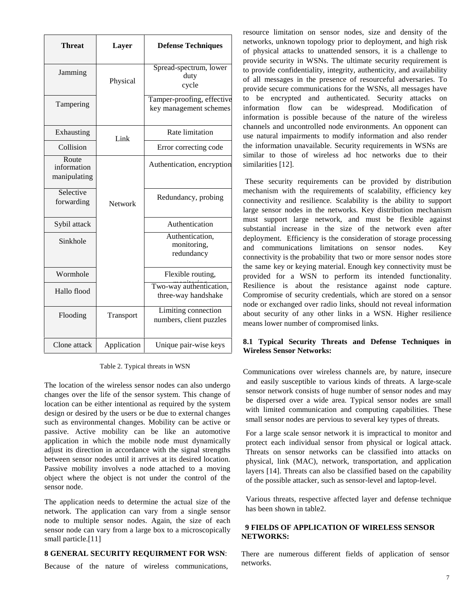| <b>Threat</b>                        | Layer          | <b>Defense Techniques</b>                            |
|--------------------------------------|----------------|------------------------------------------------------|
| Jamming                              | Physical       | Spread-spectrum, lower<br>duty<br>cycle              |
| Tampering                            |                | Tamper-proofing, effective<br>key management schemes |
| Exhausting                           | Link           | Rate limitation                                      |
| Collision                            |                | Error correcting code                                |
| Route<br>information<br>manipulating |                | Authentication, encryption                           |
| Selective<br>forwarding              | <b>Network</b> | Redundancy, probing                                  |
| Sybil attack                         |                | Authentication                                       |
| Sinkhole                             |                | Authentication,<br>monitoring,<br>redundancy         |
| Wormhole                             |                | Flexible routing,                                    |
| Hallo flood                          |                | Two-way authentication,<br>three-way handshake       |
| Flooding                             | Transport      | Limiting connection<br>numbers, client puzzles       |
| Clone attack                         | Application    | Unique pair-wise keys                                |

Table 2. Typical threats in WSN

The location of the wireless sensor nodes can also undergo changes over the life of the sensor system. This change of location can be either intentional as required by the system design or desired by the users or be due to external changes such as environmental changes. Mobility can be active or passive. Active mobility can be like an automotive application in which the mobile node must dynamically adjust its direction in accordance with the signal strengths between sensor nodes until it arrives at its desired location. Passive mobility involves a node attached to a moving object where the object is not under the control of the sensor node.

The application needs to determine the actual size of the network. The application can vary from a single sensor node to multiple sensor nodes. Again, the size of each sensor node can vary from a large box to a microscopically small particle.<sup>[11]</sup>

# **8 GENERAL SECURITY REQUIRMENT FOR WSN**:

Because of the nature of wireless communications,

resource limitation on sensor nodes, size and density of the networks, unknown topology prior to deployment, and high risk of physical attacks to unattended sensors, it is a challenge to provide security in WSNs. The ultimate security requirement is to provide confidentiality, integrity, authenticity, and availability of all messages in the presence of resourceful adversaries. To provide secure communications for the WSNs, all messages have to be encrypted and authenticated. Security attacks on information flow can be widespread. Modification of information is possible because of the nature of the wireless channels and uncontrolled node environments. An opponent can use natural impairments to modify information and also render the information unavailable. Security requirements in WSNs are similar to those of wireless ad hoc networks due to their similarities [12].

 These security requirements can be provided by distribution mechanism with the requirements of scalability, efficiency key connectivity and resilience. Scalability is the ability to support large sensor nodes in the networks. Key distribution mechanism must support large network, and must be flexible against substantial increase in the size of the network even after deployment. Efficiency is the consideration of storage processing and communications limitations on sensor nodes. Key connectivity is the probability that two or more sensor nodes store the same key or keying material. Enough key connectivity must be provided for a WSN to perform its intended functionality. Resilience is about the resistance against node capture. Compromise of security credentials, which are stored on a sensor node or exchanged over radio links, should not reveal information about security of any other links in a WSN. Higher resilience means lower number of compromised links.

### **8.1 Typical Security Threats and Defense Techniques in Wireless Sensor Networks:**

Communications over wireless channels are, by nature, insecure and easily susceptible to various kinds of threats. A large-scale sensor network consists of huge number of sensor nodes and may be dispersed over a wide area. Typical sensor nodes are small with limited communication and computing capabilities. These small sensor nodes are pervious to several key types of threats.

For a large scale sensor network it is impractical to monitor and protect each individual sensor from physical or logical attack. Threats on sensor networks can be classified into attacks on physical, link (MAC), network, transportation, and application layers [14]. Threats can also be classified based on the capability of the possible attacker, such as sensor-level and laptop-level.

Various threats, respective affected layer and defense technique has been shown in table2.

### **9 FIELDS OF APPLICATION OF WIRELESS SENSOR NETWORKS:**

There are numerous different fields of application of sensor networks.